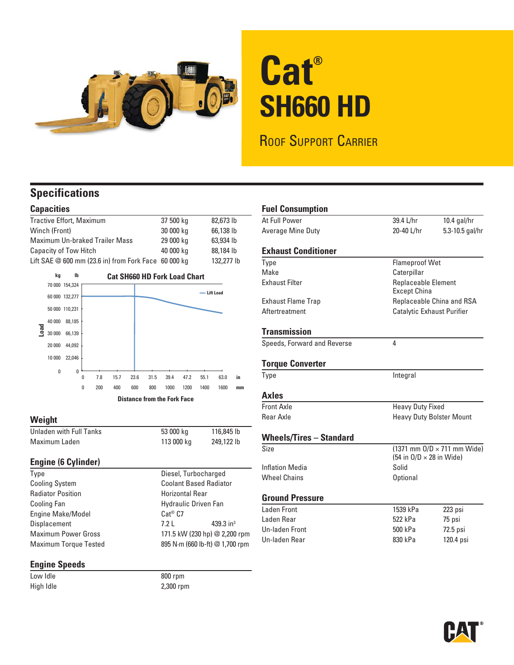

# **Cat® SH660 HD**

ROOF SUPPORT CARRIER

### **Specifications**

### **Capacities**

| Tractive Effort, Maximum                              | 37 500 kg | 82,673 lb  |
|-------------------------------------------------------|-----------|------------|
| Winch (Front)                                         | 30 000 kg | 66,138 lb  |
| <b>Maximum Un-braked Trailer Mass</b>                 | 29 000 kg | 63,934 lb  |
| <b>Capacity of Tow Hitch</b>                          | 40 000 kg | 88,184 lb  |
| Lift SAE $@600$ mm (23.6 in) from Fork Face 60 000 kg |           | 132,277 lb |



#### **Weight**

| Unladen with Full Tanks | 53 000 kg  | 116,845 lb |
|-------------------------|------------|------------|
| Maximum Laden           | 113 000 kg | 249,122 lb |

#### **Engine (6 Cylinder)**

| Type                         | Diesel, Turbocharged            |                       |
|------------------------------|---------------------------------|-----------------------|
| <b>Cooling System</b>        | <b>Coolant Based Radiator</b>   |                       |
| <b>Radiator Position</b>     | <b>Horizontal Rear</b>          |                       |
| Cooling Fan                  | Hydraulic Driven Fan            |                       |
| Engine Make/Model            | $Cat^@$ $C7$                    |                       |
| Displacement                 | 7.2 <sub>1</sub>                | 439.3 in <sup>3</sup> |
| <b>Maximum Power Gross</b>   | 171.5 kW (230 hp) @ 2,200 rpm   |                       |
| <b>Maximum Torque Tested</b> | 895 N·m (660 lb-ft) @ 1,700 rpm |                       |
|                              |                                 |                       |

### **Engine Speeds**

Low Idle 800 rpm High Idle 2,300 rpm

Diesel, Turbocharged **Coolant Based Radiator** 

| <b>Fuel Consumption</b>        |                                                                                         |                 |
|--------------------------------|-----------------------------------------------------------------------------------------|-----------------|
| At Full Power                  | 39.4 L/hr                                                                               | $10.4$ gal/hr   |
| Average Mine Duty              | 20-40 L/hr                                                                              | 5.3-10.5 gal/hr |
| <b>Exhaust Conditioner</b>     |                                                                                         |                 |
| Type                           | <b>Flameproof Wet</b>                                                                   |                 |
| Make                           | Caterpillar                                                                             |                 |
| <b>Exhaust Filter</b>          | Replaceable Element<br><b>Except China</b>                                              |                 |
| <b>Exhaust Flame Trap</b>      | Replaceable China and RSA                                                               |                 |
| Aftertreatment                 | Catalytic Exhaust Purifier                                                              |                 |
| <b>Transmission</b>            |                                                                                         |                 |
| Speeds, Forward and Reverse    | 4                                                                                       |                 |
| <b>Torque Converter</b>        |                                                                                         |                 |
| Type                           | Integral                                                                                |                 |
| Axles                          |                                                                                         |                 |
| Front Axle                     | <b>Heavy Duty Fixed</b>                                                                 |                 |
| Rear Axle                      | <b>Heavy Duty Bolster Mount</b>                                                         |                 |
| <b>Wheels/Tires - Standard</b> |                                                                                         |                 |
| Size                           | $(1371 \text{ mm } 0/D \times 711 \text{ mm } Wide)$<br>(54 in $O/D \times 28$ in Wide) |                 |
| <b>Inflation Media</b>         | Solid                                                                                   |                 |
| <b>Wheel Chains</b>            | Optional                                                                                |                 |
| <b>Ground Pressure</b>         |                                                                                         |                 |
| Laden Front                    | 1539 kPa                                                                                | 223 psi         |
| Laden Rear                     | 522 kPa                                                                                 | 75 psi          |
| <b>Un-laden Front</b>          | 500 kPa                                                                                 | 72.5 psi        |
| Un-laden Rear                  | 830 kPa                                                                                 | 120.4 psi       |

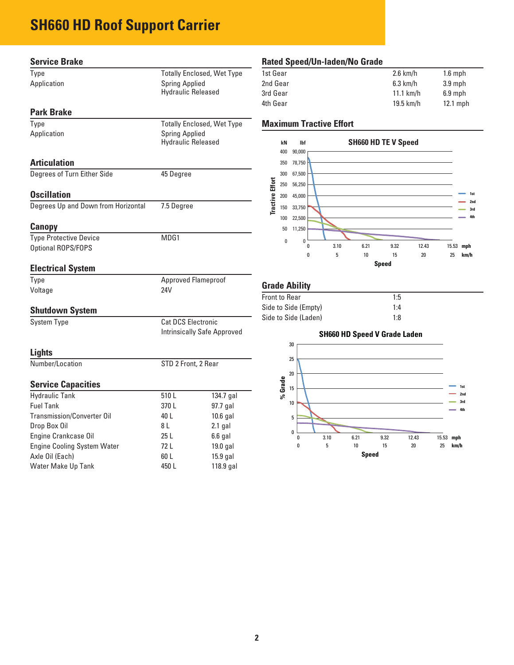### **SH660 HD Roof Support Carrier**

| <b>Service Brake</b>                |                           |                                    | <b>Rated Speed/Ur</b>                   |
|-------------------------------------|---------------------------|------------------------------------|-----------------------------------------|
| Type                                |                           | <b>Totally Enclosed, Wet Type</b>  | 1st Gear                                |
| Application                         | <b>Spring Applied</b>     |                                    | 2nd Gear                                |
|                                     | <b>Hydraulic Released</b> |                                    | 3rd Gear                                |
| <b>Park Brake</b>                   |                           |                                    | 4th Gear                                |
| Type                                |                           | <b>Totally Enclosed, Wet Type</b>  | <b>Maximum Tract</b>                    |
| Application                         | <b>Spring Applied</b>     |                                    |                                         |
|                                     | <b>Hydraulic Released</b> |                                    | kN<br><b>Ibf</b>                        |
|                                     |                           |                                    | 400<br>90,000                           |
| <b>Articulation</b>                 |                           |                                    | 78,750<br>350                           |
| Degrees of Turn Either Side         | 45 Degree                 |                                    | 300<br>67,500                           |
|                                     |                           |                                    | <b>Tractive Effort</b><br>250<br>56,250 |
| <b>Oscillation</b>                  |                           |                                    | 200<br>45,000                           |
| Degrees Up and Down from Horizontal | 7.5 Degree                |                                    | 150<br>33,750                           |
|                                     |                           |                                    | 22,500<br>100                           |
| <b>Canopy</b>                       |                           |                                    | 11,250<br>50                            |
| <b>Type Protective Device</b>       | MDG1                      |                                    | $\bf{0}$<br>$\mathbf{0}$<br>n           |
| Optional ROPS/FOPS                  |                           |                                    | $\boldsymbol{0}$                        |
| <b>Electrical System</b>            |                           |                                    |                                         |
| Type                                |                           | <b>Approved Flameproof</b>         |                                         |
| Voltage                             | 24V                       |                                    | <b>Grade Ability</b>                    |
|                                     |                           |                                    | <b>Front to Rear</b>                    |
| <b>Shutdown System</b>              |                           |                                    | Side to Side (Empty                     |
| <b>System Type</b>                  | Cat DCS Electronic        |                                    | Side to Side (Laden                     |
|                                     |                           | <b>Intrinsically Safe Approved</b> |                                         |
|                                     |                           |                                    | 30                                      |
| <b>Lights</b>                       |                           |                                    | 25                                      |
| Number/Location                     | STD 2 Front, 2 Rear       |                                    |                                         |
|                                     |                           |                                    | 20                                      |
| <b>Service Capacities</b>           |                           |                                    | % Grade<br>15                           |
| <b>Hydraulic Tank</b>               | 510L                      | 134.7 gal                          |                                         |
| <b>Fuel Tank</b>                    | 370L                      | 97.7 gal                           | 10                                      |
| <b>Transmission/Converter Oil</b>   | 40 L                      | 10.6 gal                           | 5                                       |
| Drop Box Oil                        | 8 L                       | $2.1$ gal                          | 0                                       |
| Engine Crankcase Oil                | 25L                       | $6.6$ gal                          | 0                                       |
| <b>Engine Cooling System Water</b>  | 72 L                      | 19.0 gal                           | 0                                       |
| Axle Oil (Each)                     | 60 L                      | 15.9 gal                           |                                         |

Water Make Up Tank 150 L and 118.9 gal

### **n-laden/No Grade**

| 1st Gear | $2.6$ km/h  | $1.6$ mph  |
|----------|-------------|------------|
| 2nd Gear | $6.3$ km/h  | 3.9 mph    |
| 3rd Gear | $11.1$ km/h | $6.9$ mph  |
| 4th Gear | $19.5$ km/h | $12.1$ mph |
|          |             |            |

### *Maximum* Effort



| 1:5 |
|-----|
| 1:4 |
| 1:8 |
|     |

### **SH660 HD Speed V Grade Laden**

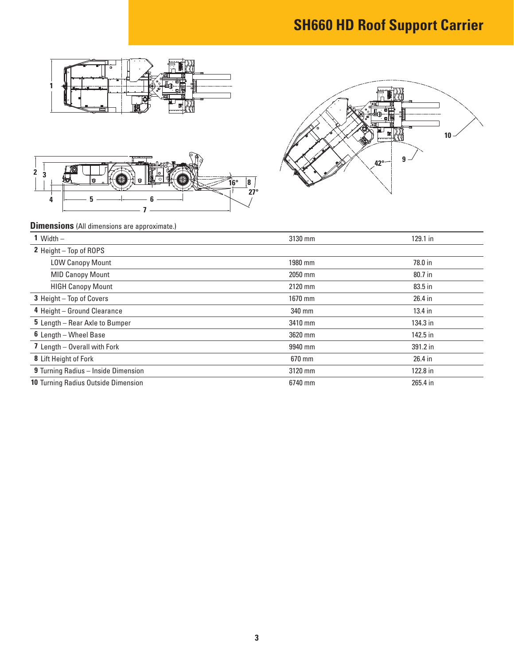## **SH660 HD Roof Support Carrier**







**5 6**

**3**

| 1 Width $-$                         | 3130 mm | 129.1 in  |
|-------------------------------------|---------|-----------|
| 2 Height - Top of ROPS              |         |           |
| <b>LOW Canopy Mount</b>             | 1980 mm | 78.0 in   |
| <b>MID Canopy Mount</b>             | 2050 mm | 80.7 in   |
| <b>HIGH Canopy Mount</b>            | 2120 mm | 83.5 in   |
| 3 Height - Top of Covers            | 1670 mm | 26.4 in   |
| 4 Height - Ground Clearance         | 340 mm  | $13.4$ in |
| 5 Length - Rear Axle to Bumper      | 3410 mm | 134.3 in  |
| 6 Length - Wheel Base               | 3620 mm | 142.5 in  |
| 7 Length - Overall with Fork        | 9940 mm | 391.2 in  |
| 8 Lift Height of Fork               | 670 mm  | 26.4 in   |
| 9 Turning Radius - Inside Dimension | 3120 mm | 122.8 in  |
| 10 Turning Radius Outside Dimension | 6740 mm | 265.4 in  |

**27° 16° 8**